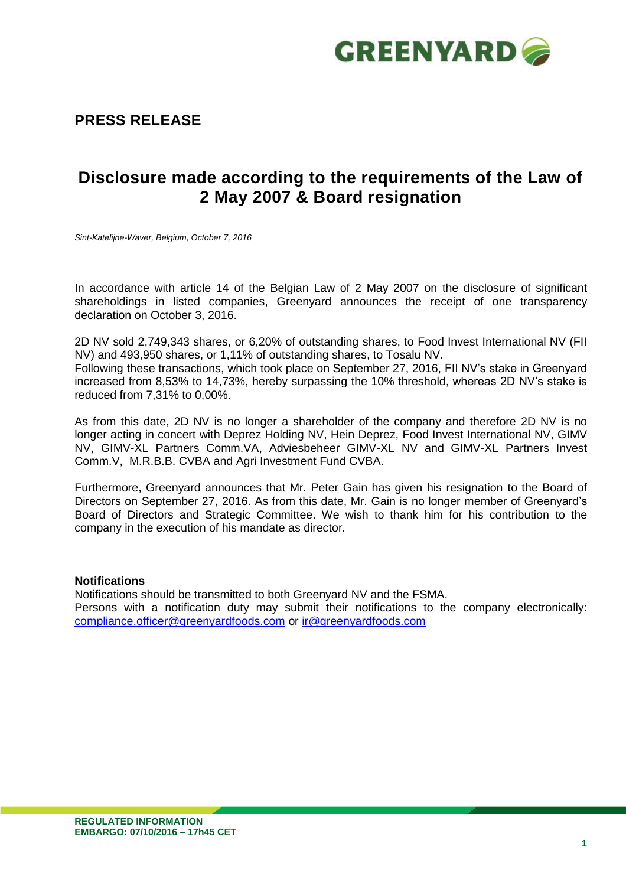

## **PRESS RELEASE**

# **Disclosure made according to the requirements of the Law of 2 May 2007 & Board resignation**

*Sint-Katelijne-Waver, Belgium, October 7, 2016*

In accordance with article 14 of the Belgian Law of 2 May 2007 on the disclosure of significant shareholdings in listed companies, Greenyard announces the receipt of one transparency declaration on October 3, 2016.

2D NV sold 2,749,343 shares, or 6,20% of outstanding shares, to Food Invest International NV (FII NV) and 493,950 shares, or 1,11% of outstanding shares, to Tosalu NV.

Following these transactions, which took place on September 27, 2016, FII NV's stake in Greenyard increased from 8,53% to 14,73%, hereby surpassing the 10% threshold, whereas 2D NV's stake is reduced from 7,31% to 0,00%.

As from this date, 2D NV is no longer a shareholder of the company and therefore 2D NV is no longer acting in concert with Deprez Holding NV, Hein Deprez, Food Invest International NV, GIMV NV, GIMV-XL Partners Comm.VA, Adviesbeheer GIMV-XL NV and GIMV-XL Partners Invest Comm.V, M.R.B.B. CVBA and Agri Investment Fund CVBA.

Furthermore, Greenyard announces that Mr. Peter Gain has given his resignation to the Board of Directors on September 27, 2016. As from this date, Mr. Gain is no longer member of Greenyard's Board of Directors and Strategic Committee. We wish to thank him for his contribution to the company in the execution of his mandate as director.

#### **Notifications**

Notifications should be transmitted to both Greenyard NV and the FSMA. Persons with a notification duty may submit their notifications to the company electronically: [compliance.officer@greenyardfoods.com](mailto:compliance.officer@greenyardfoods.com) or [ir@greenyardfoods.com](mailto:ir@greenyardfoods.com)